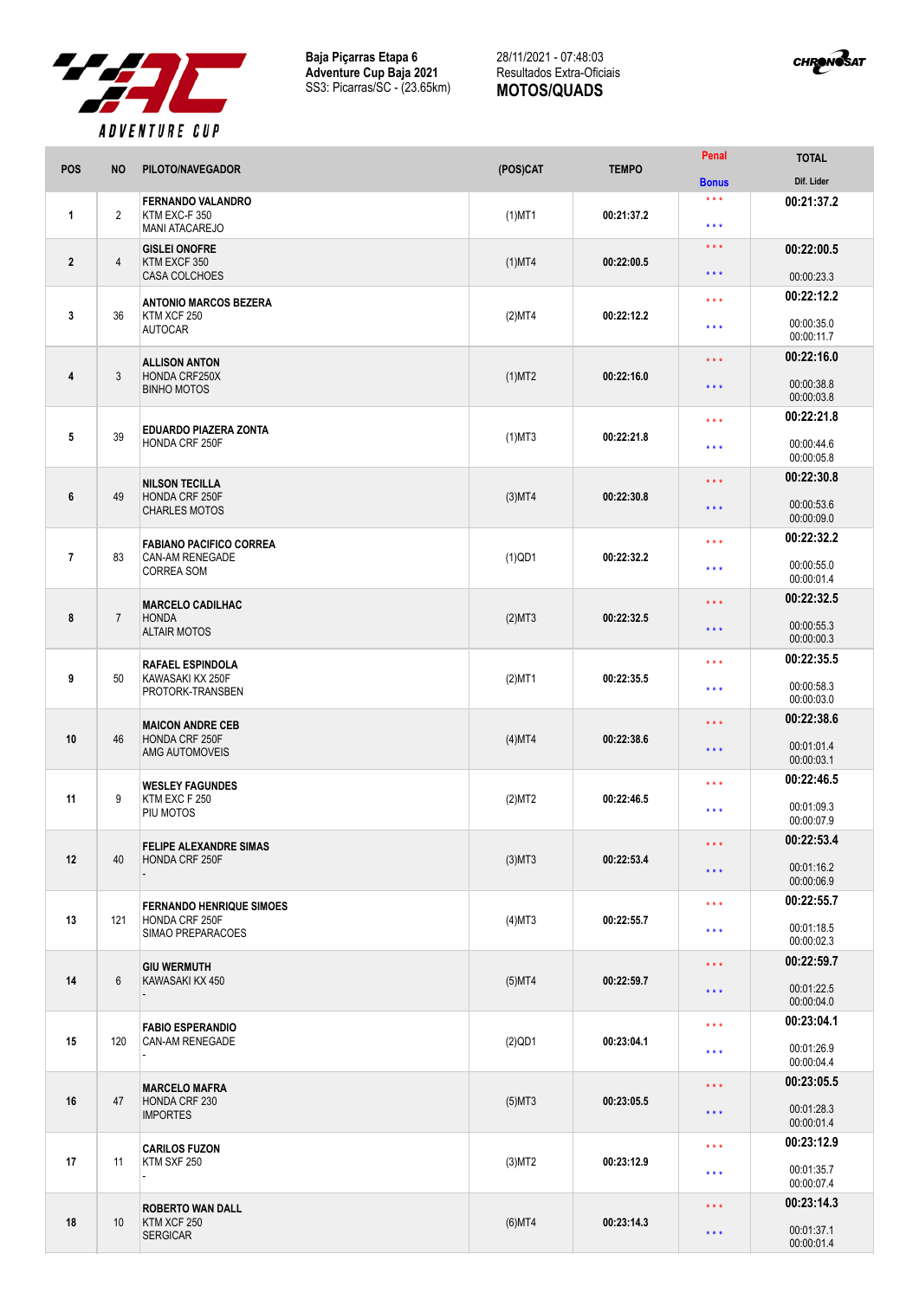

**Baja Piçarras Etapa 6 Adventure Cup Baja 2021** SS3: Picarras/SC - (23.65km)

## 28/11/2021 - 07:48:03 Resultados Extra-Oficiais **MOTOS/QUADS**



| <b>POS</b>     | <b>NO</b>      | PILOTO/NAVEGADOR                                                   | (POS)CAT  | <b>TEMPO</b> | Penal                   | <b>TOTAL</b>                           |
|----------------|----------------|--------------------------------------------------------------------|-----------|--------------|-------------------------|----------------------------------------|
|                |                |                                                                    |           |              | <b>Bonus</b>            | Dif. Lider                             |
| $\mathbf{1}$   | $\overline{2}$ | <b>FERNANDO VALANDRO</b><br>KTM EXC-F 350<br><b>MANI ATACAREJO</b> | $(1)$ MT1 | 00:21:37.2   | $***$<br>* * *          | 00:21:37.2                             |
| $\overline{2}$ | 4              | <b>GISLEI ONOFRE</b><br>KTM EXCF 350                               | $(1)$ MT4 | 00:22:00.5   | $***$<br>* * *          | 00:22:00.5                             |
|                |                | <b>CASA COLCHOES</b>                                               |           |              |                         | 00:00:23.3                             |
| 3              | 36             | <b>ANTONIO MARCOS BEZERA</b><br>KTM XCF 250<br><b>AUTOCAR</b>      | (2)MT4    | 00:22:12.2   | * * *<br>* * *          | 00:22:12.2<br>00:00:35.0<br>00:00:11.7 |
|                |                |                                                                    |           |              |                         | 00:22:16.0                             |
| $\overline{4}$ | 3              | <b>ALLISON ANTON</b><br>HONDA CRF250X<br><b>BINHO MOTOS</b>        | $(1)$ MT2 | 00:22:16.0   | * * *<br>$***$          | 00:00:38.8<br>00:00:03.8               |
|                |                |                                                                    |           |              | * * *                   | 00:22:21.8                             |
| 5              | 39             | <b>EDUARDO PIAZERA ZONTA</b><br><b>HONDA CRF 250F</b>              | $(1)$ MT3 | 00:22:21.8   | $***$                   | 00:00:44.6<br>00:00:05.8               |
|                |                | <b>NILSON TECILLA</b>                                              |           |              | * * *                   | 00:22:30.8                             |
| 6              | 49             | HONDA CRF 250F<br><b>CHARLES MOTOS</b>                             | $(3)$ MT4 | 00:22:30.8   | * * *                   | 00:00:53.6<br>00:00:09.0               |
|                |                | <b>FABIANO PACIFICO CORREA</b>                                     |           |              | $***$                   | 00:22:32.2                             |
| $\overline{7}$ | 83             | <b>CAN-AM RENEGADE</b><br><b>CORREA SOM</b>                        | $(1)$ QD1 | 00:22:32.2   | * * *                   | 00:00:55.0<br>00:00:01.4               |
|                |                | <b>MARCELO CADILHAC</b>                                            |           |              | * * *                   | 00:22:32.5                             |
| 8              | $\overline{7}$ | <b>HONDA</b><br><b>ALTAIR MOTOS</b>                                | (2)MT3    | 00:22:32.5   | * * *                   | 00:00:55.3<br>00:00:00.3               |
|                |                | <b>RAFAEL ESPINDOLA</b>                                            |           |              | * * *                   | 00:22:35.5                             |
| 9              | 50             | KAWASAKI KX 250F<br>PROTORK-TRANSBEN                               | $(2)$ MT1 | 00:22:35.5   | $***$                   | 00:00:58.3<br>00:00:03.0               |
|                |                | <b>MAICON ANDRE CEB</b>                                            |           |              | * * *                   | 00:22:38.6                             |
| 10             | 46             | HONDA CRF 250F<br>AMG AUTOMOVEIS                                   | $(4)$ MT4 | 00:22:38.6   | * * *                   | 00:01:01.4<br>00:00:03.1               |
|                |                | <b>WESLEY FAGUNDES</b>                                             |           |              | * * *                   | 00:22:46.5                             |
| 11             | 9              | KTM EXC F 250<br>PIU MOTOS                                         | (2)MT2    | 00:22:46.5   | $***$                   | 00:01:09.3<br>00:00:07.9               |
|                |                | <b>FELIPE ALEXANDRE SIMAS</b>                                      |           | 00:22:53.4   | $***$                   | 00:22:53.4                             |
| 12             | 40             | HONDA CRF 250F                                                     | $(3)$ MT3 |              | $***$                   | 00:01:16.2<br>00:00:06.9               |
|                |                | <b>FERNANDO HENRIQUE SIMOES</b>                                    |           |              | $***$                   | 00:22:55.7                             |
| 13             | 121            | HONDA CRF 250F<br>SIMAO PREPARACOES                                | $(4)$ MT3 | 00:22:55.7   | * * *                   | 00:01:18.5<br>00:00:02.3               |
|                |                | <b>GIU WERMUTH</b>                                                 |           |              | $\star$ $\star$ $\star$ | 00:22:59.7                             |
| 14             | 6              | KAWASAKI KX 450                                                    | $(5)$ MT4 | 00:22:59.7   | $\star$ $\star$ $\star$ | 00:01:22.5<br>00:00:04.0               |
|                |                | <b>FABIO ESPERANDIO</b>                                            |           |              | $\star$ $\star$ $\star$ | 00:23:04.1                             |
| 15             | 120            | <b>CAN-AM RENEGADE</b>                                             | $(2)$ QD1 | 00:23:04.1   | * * *                   | 00:01:26.9<br>00:00:04.4               |
|                |                | <b>MARCELO MAFRA</b>                                               |           |              | $\star\star\star$       | 00:23:05.5                             |
| 16             | 47             | HONDA CRF 230<br><b>IMPORTES</b>                                   | $(5)$ MT3 | 00:23:05.5   | $\star$ $\star$ $\star$ | 00:01:28.3<br>00:00:01.4               |
|                |                | <b>CARILOS FUZON</b>                                               |           |              | $***$                   | 00:23:12.9                             |
| 17             | 11             | KTM SXF 250                                                        | $(3)$ MT2 | 00:23:12.9   | $\star$ $\star$ $\star$ | 00:01:35.7<br>00:00:07.4               |
| 18             |                | <b>ROBERTO WAN DALL</b><br>KTM XCF 250<br><b>SERGICAR</b>          |           |              | $\star\star\star$       | 00:23:14.3                             |
|                | 10             |                                                                    | $(6)$ MT4 | 00:23:14.3   | $\star$ $\star$ $\star$ | 00:01:37.1<br>00:00:01.4               |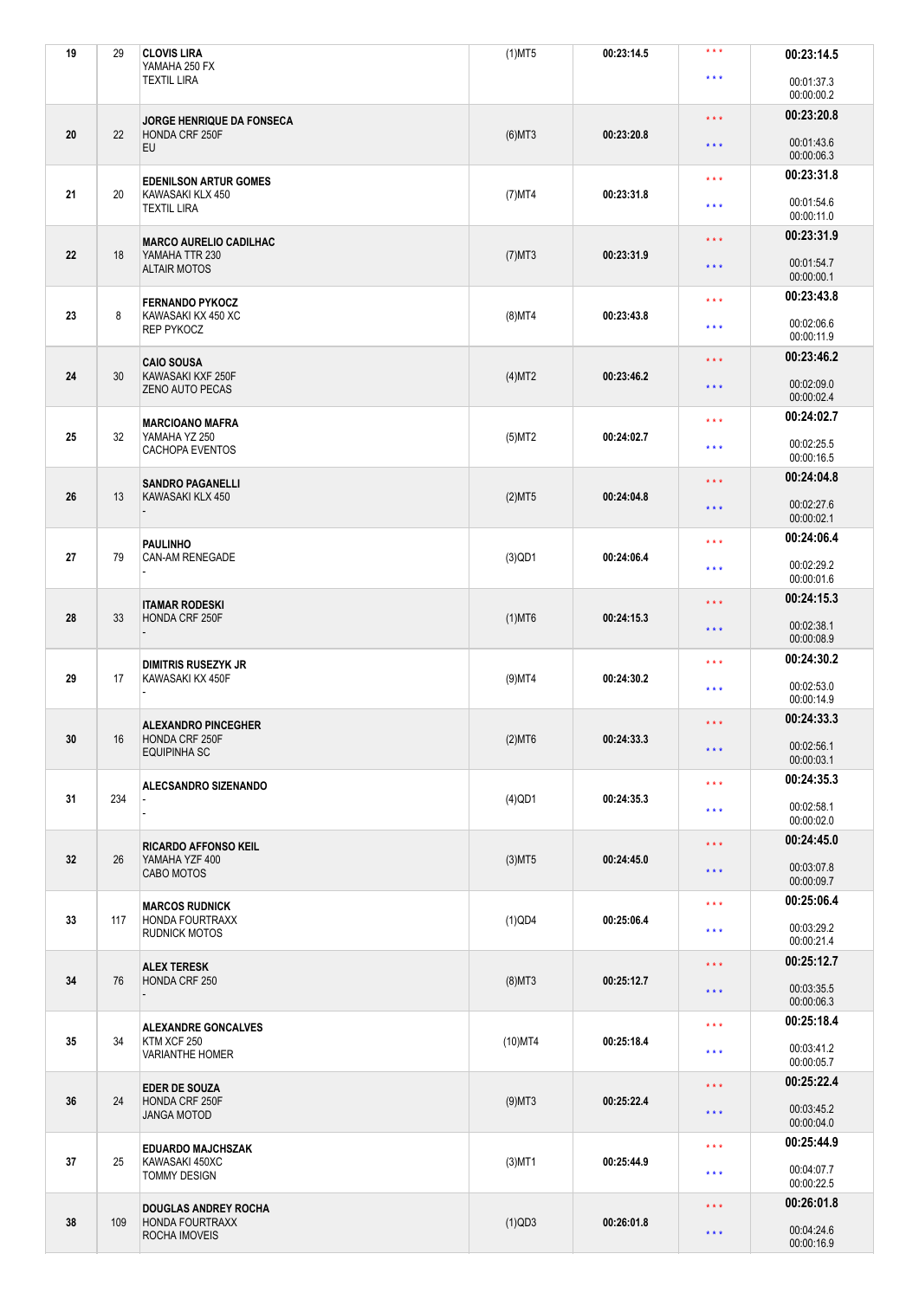| 19 | 29  | <b>CLOVIS LIRA</b><br>YAMAHA 250 FX                                 | $(1)$ MT5  | 00:23:14.5 | $***$                                        | 00:23:14.5               |
|----|-----|---------------------------------------------------------------------|------------|------------|----------------------------------------------|--------------------------|
|    |     | <b>TEXTIL LIRA</b>                                                  |            |            | $***$                                        | 00:01:37.3<br>00:00:00.2 |
|    |     | JORGE HENRIQUE DA FONSECA<br>HONDA CRF 250F<br><b>EU</b>            |            |            | $***$                                        | 00:23:20.8               |
| 20 | 22  |                                                                     | $(6)$ MT3  | 00:23:20.8 | $\star$ $\star$ $\star$                      | 00:01:43.6<br>00:00:06.3 |
|    |     | <b>EDENILSON ARTUR GOMES</b>                                        |            |            | $***$                                        | 00:23:31.8               |
| 21 | 20  | KAWASAKI KLX 450<br><b>TEXTIL LIRA</b>                              | $(7)$ MT4  | 00:23:31.8 | $***$                                        | 00:01:54.6<br>00:00:11.0 |
|    |     | <b>MARCO AURELIO CADILHAC</b>                                       |            |            | $\star\star\star$                            | 00:23:31.9               |
| 22 | 18  | YAMAHA TTR 230<br><b>ALTAIR MOTOS</b>                               | $(7)$ MT3  | 00:23:31.9 | $***$                                        | 00:01:54.7<br>00:00:00.1 |
|    |     | <b>FERNANDO PYKOCZ</b>                                              |            |            | $***$                                        | 00:23:43.8               |
| 23 | 8   | KAWASAKI KX 450 XC<br><b>REP PYKOCZ</b>                             | $(8)$ MT4  | 00:23:43.8 | $***$                                        | 00:02:06.6<br>00:00:11.9 |
| 24 | 30  | <b>CAIO SOUSA</b>                                                   |            | 00:23:46.2 | $\star\star\star$                            | 00:23:46.2               |
|    |     | KAWASAKI KXF 250F<br><b>ZENO AUTO PECAS</b>                         | $(4)$ MT2  |            | $***$                                        | 00:02:09.0<br>00:00:02.4 |
|    |     | <b>MARCIOANO MAFRA</b>                                              |            | 00:24:02.7 | $***$                                        | 00:24:02.7               |
| 25 | 32  | YAMAHA YZ 250<br>CACHOPA EVENTOS                                    | $(5)$ MT2  |            | $***$                                        | 00:02:25.5<br>00:00:16.5 |
|    |     | <b>SANDRO PAGANELLI</b>                                             |            |            | $\star \star \star$                          | 00:24:04.8               |
| 26 | 13  | KAWASAKI KLX 450                                                    | (2)MT5     | 00:24:04.8 | $***$                                        | 00:02:27.6<br>00:00:02.1 |
|    |     | <b>PAULINHO</b><br><b>CAN-AM RENEGADE</b>                           |            |            | $***$                                        | 00:24:06.4               |
| 27 | 79  |                                                                     | $(3)$ QD1  | 00:24:06.4 | $***$                                        | 00:02:29.2<br>00:00:01.6 |
|    | 33  | <b>ITAMAR RODESKI</b><br>HONDA CRF 250F                             |            |            | $\star$ $\star$ $\star$                      | 00:24:15.3               |
| 28 |     |                                                                     | $(1)$ MT6  | 00:24:15.3 | $***$                                        | 00:02:38.1<br>00:00:08.9 |
|    | 17  | <b>DIMITRIS RUSEZYK JR</b><br>KAWASAKI KX 450F                      |            |            | $***$                                        | 00:24:30.2               |
| 29 |     |                                                                     | $(9)$ MT4  | 00:24:30.2 | $***$                                        | 00:02:53.0<br>00:00:14.9 |
|    |     | <b>ALEXANDRO PINCEGHER</b>                                          |            |            | $***$                                        | 00:24:33.3               |
| 30 | 16  | HONDA CRF 250F<br><b>EQUIPINHA SC</b>                               | $(2)$ MT6  | 00:24:33.3 | $\star \star \star$                          | 00:02:56.1<br>00:00:03.1 |
|    |     | ALECSANDRO SIZENANDO                                                |            |            | $\star\star\star$                            | 00:24:35.3               |
| 31 | 234 |                                                                     | $(4)$ QD1  | 00:24:35.3 | $***$                                        | 00:02:58.1<br>00:00:02.0 |
|    |     | <b>RICARDO AFFONSO KEIL</b>                                         |            |            | $\star\star\star$                            | 00:24:45.0               |
| 32 | 26  | YAMAHA YZF 400<br>CABO MOTOS                                        | $(3)$ MT5  | 00:24:45.0 | $\star$ $\star$ $\star$                      | 00:03:07.8<br>00:00:09.7 |
|    |     | <b>MARCOS RUDNICK</b>                                               |            | $***$      |                                              | 00:25:06.4               |
| 33 | 117 | <b>HONDA FOURTRAXX</b><br><b>RUDNICK MOTOS</b>                      | $(1)$ QD4  | 00:25:06.4 | $***$                                        | 00:03:29.2<br>00:00:21.4 |
|    | 76  | <b>ALEX TERESK</b><br>HONDA CRF 250                                 |            |            | $***$                                        | 00:25:12.7               |
| 34 |     |                                                                     | $(8)$ MT3  | 00:25:12.7 | $***$                                        | 00:03:35.5<br>00:00:06.3 |
|    | 34  | <b>ALEXANDRE GONCALVES</b><br>KTM XCF 250<br><b>VARIANTHE HOMER</b> |            |            | $\star\star\star$                            | 00:25:18.4               |
| 35 |     |                                                                     | $(10)$ MT4 | 00:25:18.4 | $***$                                        | 00:03:41.2<br>00:00:05.7 |
|    | 24  | <b>EDER DE SOUZA</b><br>HONDA CRF 250F<br><b>JANGA MOTOD</b>        |            |            | $\star\star\star$<br>$\star$ $\star$ $\star$ | 00:25:22.4               |
| 36 |     |                                                                     | $(9)$ MT3  | 00:25:22.4 |                                              | 00:03:45.2<br>00:00:04.0 |
|    |     | <b>EDUARDO MAJCHSZAK</b>                                            |            |            | $***$                                        | 00:25:44.9               |
| 37 | 25  | KAWASAKI 450XC<br><b>TOMMY DESIGN</b>                               | $(3)$ MT1  | 00:25:44.9 | $***$                                        | 00:04:07.7<br>00:00:22.5 |
|    |     | <b>DOUGLAS ANDREY ROCHA</b>                                         |            |            | $\star\star\star$                            | 00:26:01.8               |
| 38 | 109 | <b>HONDA FOURTRAXX</b><br>ROCHA IMOVEIS                             | $(1)$ QD3  | 00:26:01.8 | $\star$ $\star$ $\star$                      | 00:04:24.6<br>00:00:16.9 |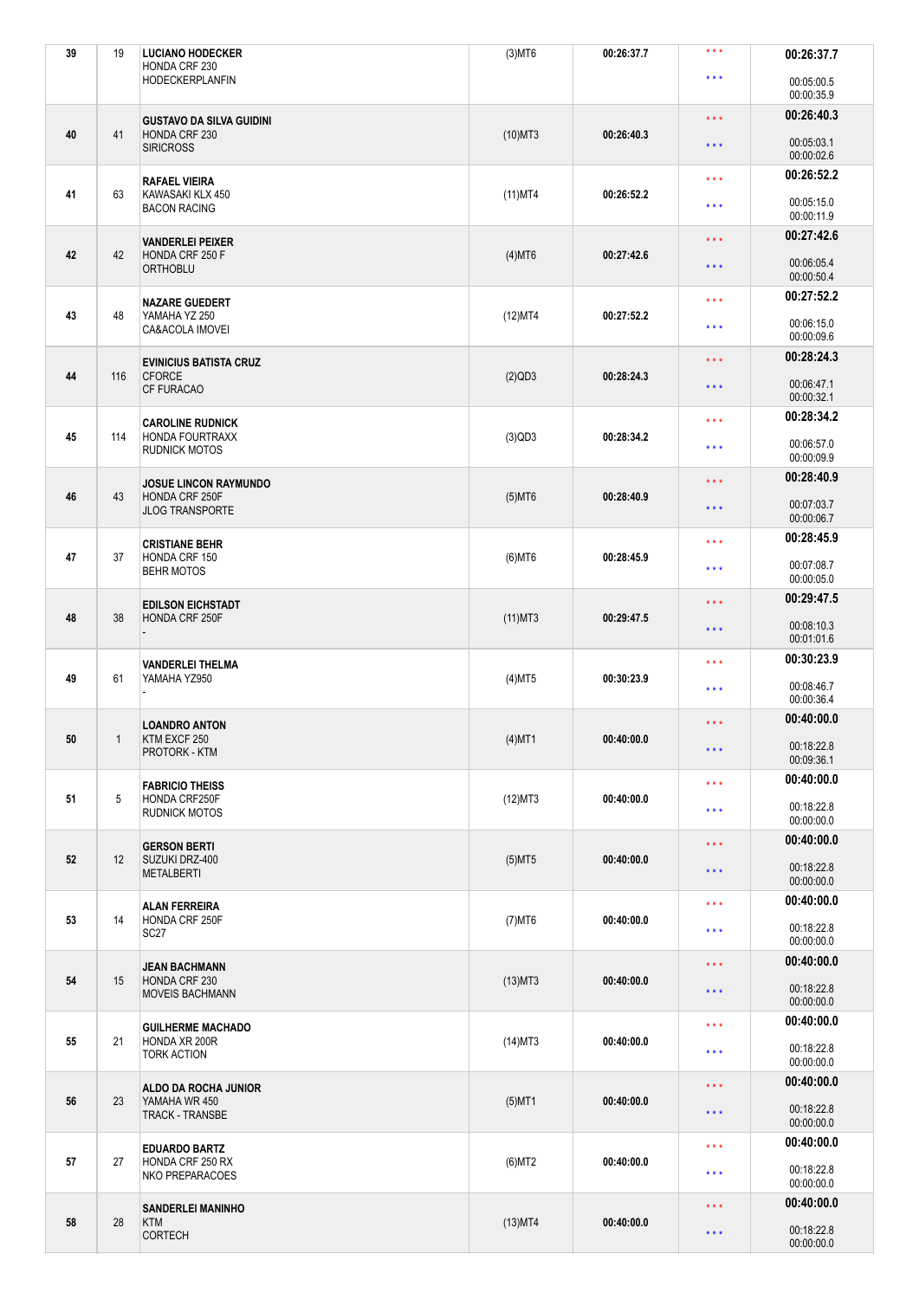| 39 | 19  | <b>LUCIANO HODECKER</b><br>HONDA CRF 230                             | $(3)$ MT6  | 00:26:37.7 | $***$                                      | 00:26:37.7               |
|----|-----|----------------------------------------------------------------------|------------|------------|--------------------------------------------|--------------------------|
|    |     | <b>HODECKERPLANFIN</b>                                               |            |            | $***$                                      | 00:05:00.5<br>00:00:35.9 |
|    |     | <b>GUSTAVO DA SILVA GUIDINI</b><br>HONDA CRF 230<br><b>SIRICROSS</b> |            |            | $***$                                      | 00:26:40.3               |
| 40 | 41  |                                                                      | $(10)$ MT3 | 00:26:40.3 | $***$                                      | 00:05:03.1<br>00:00:02.6 |
|    |     | <b>RAFAEL VIEIRA</b>                                                 |            |            | $***$                                      | 00:26:52.2               |
| 41 | 63  | KAWASAKI KLX 450<br><b>BACON RACING</b>                              | $(11)$ MT4 | 00:26:52.2 | $***$                                      | 00:05:15.0<br>00:00:11.9 |
|    |     | <b>VANDERLEI PEIXER</b>                                              |            |            | $***$                                      | 00:27:42.6               |
| 42 | 42  | HONDA CRF 250 F<br><b>ORTHOBLU</b>                                   | $(4)$ MT6  | 00:27:42.6 | $***$                                      | 00:06:05.4<br>00:00:50.4 |
|    |     | <b>NAZARE GUEDERT</b><br>YAMAHA YZ 250<br>CA&ACOLA IMOVEI            |            |            | $***$                                      | 00:27:52.2               |
| 43 | 48  |                                                                      | (12)MT4    | 00:27:52.2 | $***$                                      | 00:06:15.0<br>00:00:09.6 |
| 44 | 116 | <b>EVINICIUS BATISTA CRUZ</b>                                        |            | 00:28:24.3 | $***$                                      | 00:28:24.3               |
|    |     | <b>CFORCE</b><br><b>CF FURACAO</b>                                   | $(2)$ QD3  |            | $***$                                      | 00:06:47.1<br>00:00:32.1 |
|    |     | <b>CAROLINE RUDNICK</b>                                              |            | 00:28:34.2 | $***$                                      | 00:28:34.2               |
| 45 | 114 | <b>HONDA FOURTRAXX</b><br><b>RUDNICK MOTOS</b>                       | $(3)$ QD3  |            | $***$                                      | 00:06:57.0<br>00:00:09.9 |
|    |     | <b>JOSUE LINCON RAYMUNDO</b>                                         |            |            | $***$                                      | 00:28:40.9               |
| 46 | 43  | HONDA CRF 250F<br><b>JLOG TRANSPORTE</b>                             | $(5)$ MT6  | 00:28:40.9 | $***$                                      | 00:07:03.7<br>00:00:06.7 |
|    |     | <b>CRISTIANE BEHR</b><br>HONDA CRF 150<br><b>BEHR MOTOS</b>          |            |            | $***$                                      | 00:28:45.9               |
| 47 | 37  |                                                                      | $(6)$ MT6  | 00:28:45.9 | $* * *$                                    | 00:07:08.7<br>00:00:05.0 |
|    |     | <b>EDILSON EICHSTADT</b><br>HONDA CRF 250F                           |            |            | $***$                                      | 00:29:47.5               |
| 48 | 38  |                                                                      | $(11)$ MT3 | 00:29:47.5 | $***$                                      | 00:08:10.3<br>00:01:01.6 |
|    |     | <b>VANDERLEI THELMA</b>                                              |            |            | $***$                                      | 00:30:23.9               |
| 49 | 61  | YAMAHA YZ950                                                         | $(4)$ MT5  | 00:30:23.9 | $***$                                      | 00:08:46.7<br>00:00:36.4 |
|    |     | <b>LOANDRO ANTON</b>                                                 |            |            | $***$                                      | 00:40:00.0               |
| 50 | 1   | KTM EXCF 250<br>PROTORK - KTM                                        | $(4)$ MT1  | 00:40:00.0 | $***$                                      | 00:18:22.8<br>00:09:36.1 |
|    |     | <b>FABRICIO THEISS</b>                                               |            |            | $***$                                      | 00:40:00.0               |
| 51 | 5   | HONDA CRF250F<br><b>RUDNICK MOTOS</b>                                | (12)MT3    | 00:40:00.0 | $***$                                      | 00:18:22.8<br>00:00:00.0 |
|    |     |                                                                      |            |            | $***$                                      | 00:40:00.0               |
| 52 | 12  | <b>GERSON BERTI</b><br>SUZUKI DRZ-400                                | $(5)$ MT5  | 00:40:00.0 |                                            | 00:18:22.8               |
|    |     | <b>METALBERTI</b>                                                    |            |            | $***$                                      | 00:00:00.0               |
|    | 14  | <b>ALAN FERREIRA</b><br>HONDA CRF 250F<br>SC <sub>27</sub>           |            |            | $\star\star\star$                          | 00:40:00.0               |
| 53 |     |                                                                      | $(7)$ MT6  | 00:40:00.0 | $***$                                      | 00:18:22.8<br>00:00:00.0 |
|    | 15  | <b>JEAN BACHMANN</b><br>HONDA CRF 230<br><b>MOVEIS BACHMANN</b>      |            |            | $***$<br>00:18:22.8<br>$***$<br>00:00:00.0 | 00:40:00.0               |
| 54 |     |                                                                      | $(13)$ MT3 | 00:40:00.0 |                                            |                          |
|    | 21  | <b>GUILHERME MACHADO</b><br>HONDA XR 200R<br><b>TORK ACTION</b>      |            |            | $\star\star\star$                          | 00:40:00.0               |
| 55 |     |                                                                      | $(14)$ MT3 | 00:40:00.0 | $***$                                      | 00:18:22.8<br>00:00:00.0 |
|    | 23  | ALDO DA ROCHA JUNIOR<br>YAMAHA WR 450<br><b>TRACK - TRANSBE</b>      |            |            | $***$                                      | 00:40:00.0               |
| 56 |     |                                                                      | $(5)$ MT1  | 00:40:00.0 | $***$                                      | 00:18:22.8<br>00:00:00.0 |
|    |     | <b>EDUARDO BARTZ</b>                                                 |            |            | $***$                                      | 00:40:00.0               |
| 57 | 27  | HONDA CRF 250 RX<br>NKO PREPARACOES                                  | $(6)$ MT2  | 00:40:00.0 | $***$                                      | 00:18:22.8<br>00:00:00.0 |
|    | 28  | <b>SANDERLEI MANINHO</b><br><b>KTM</b><br><b>CORTECH</b>             |            |            | $***$                                      | 00:40:00.0               |
| 58 |     |                                                                      | $(13)$ MT4 | 00:40:00.0 | $***$                                      | 00:18:22.8<br>00:00:00.0 |